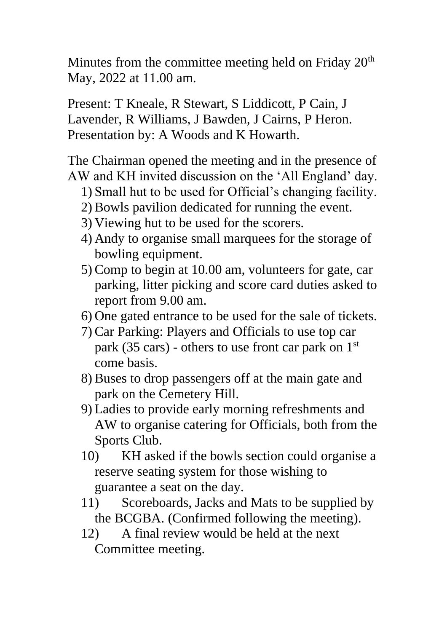Minutes from the committee meeting held on Friday 20<sup>th</sup> May, 2022 at 11.00 am.

Present: T Kneale, R Stewart, S Liddicott, P Cain, J Lavender, R Williams, J Bawden, J Cairns, P Heron. Presentation by: A Woods and K Howarth.

The Chairman opened the meeting and in the presence of AW and KH invited discussion on the 'All England' day.

- 1) Small hut to be used for Official's changing facility.
- 2) Bowls pavilion dedicated for running the event.
- 3) Viewing hut to be used for the scorers.
- 4) Andy to organise small marquees for the storage of bowling equipment.
- 5) Comp to begin at 10.00 am, volunteers for gate, car parking, litter picking and score card duties asked to report from 9.00 am.
- 6) One gated entrance to be used for the sale of tickets.
- 7) Car Parking: Players and Officials to use top car park (35 cars) - others to use front car park on  $1<sup>st</sup>$ come basis.
- 8) Buses to drop passengers off at the main gate and park on the Cemetery Hill.
- 9) Ladies to provide early morning refreshments and AW to organise catering for Officials, both from the Sports Club.
- 10) KH asked if the bowls section could organise a reserve seating system for those wishing to guarantee a seat on the day.
- 11) Scoreboards, Jacks and Mats to be supplied by the BCGBA. (Confirmed following the meeting).
- 12) A final review would be held at the next Committee meeting.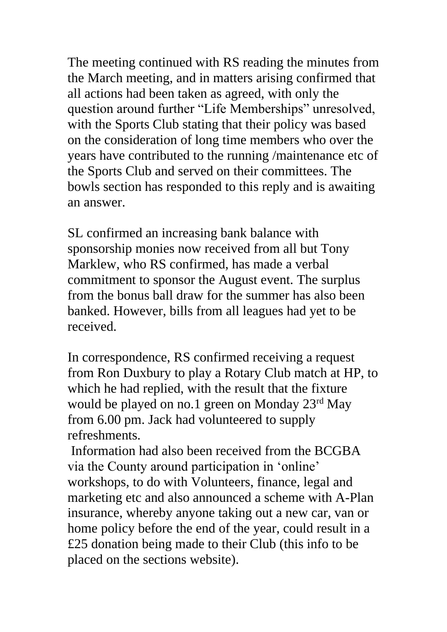The meeting continued with RS reading the minutes from the March meeting, and in matters arising confirmed that all actions had been taken as agreed, with only the question around further "Life Memberships" unresolved, with the Sports Club stating that their policy was based on the consideration of long time members who over the years have contributed to the running /maintenance etc of the Sports Club and served on their committees. The bowls section has responded to this reply and is awaiting an answer.

SL confirmed an increasing bank balance with sponsorship monies now received from all but Tony Marklew, who RS confirmed, has made a verbal commitment to sponsor the August event. The surplus from the bonus ball draw for the summer has also been banked. However, bills from all leagues had yet to be received.

In correspondence, RS confirmed receiving a request from Ron Duxbury to play a Rotary Club match at HP, to which he had replied, with the result that the fixture would be played on no.1 green on Monday 23rd May from 6.00 pm. Jack had volunteered to supply refreshments.

Information had also been received from the BCGBA via the County around participation in 'online' workshops, to do with Volunteers, finance, legal and marketing etc and also announced a scheme with A-Plan insurance, whereby anyone taking out a new car, van or home policy before the end of the year, could result in a £25 donation being made to their Club (this info to be placed on the sections website).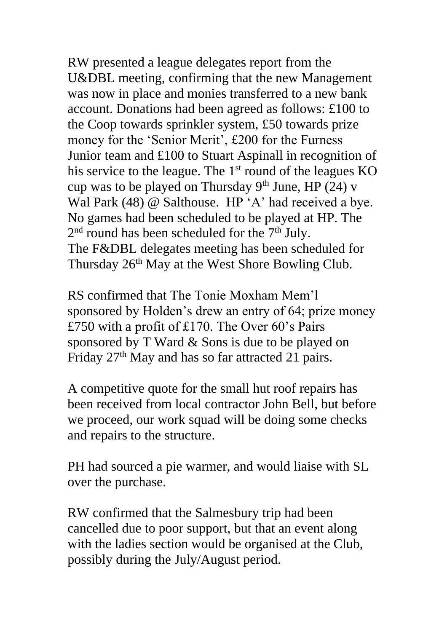RW presented a league delegates report from the U&DBL meeting, confirming that the new Management was now in place and monies transferred to a new bank account. Donations had been agreed as follows: £100 to the Coop towards sprinkler system, £50 towards prize money for the 'Senior Merit', £200 for the Furness Junior team and £100 to Stuart Aspinall in recognition of his service to the league. The 1<sup>st</sup> round of the leagues KO cup was to be played on Thursday  $9<sup>th</sup>$  June, HP (24) v Wal Park (48) @ Salthouse. HP 'A' had received a bye. No games had been scheduled to be played at HP. The  $2<sup>nd</sup>$  round has been scheduled for the  $7<sup>th</sup>$  July. The F&DBL delegates meeting has been scheduled for Thursday 26<sup>th</sup> May at the West Shore Bowling Club.

RS confirmed that The Tonie Moxham Mem'l sponsored by Holden's drew an entry of 64; prize money £750 with a profit of £170. The Over 60's Pairs sponsored by T Ward & Sons is due to be played on Friday 27<sup>th</sup> May and has so far attracted 21 pairs.

A competitive quote for the small hut roof repairs has been received from local contractor John Bell, but before we proceed, our work squad will be doing some checks and repairs to the structure.

PH had sourced a pie warmer, and would liaise with SL over the purchase.

RW confirmed that the Salmesbury trip had been cancelled due to poor support, but that an event along with the ladies section would be organised at the Club, possibly during the July/August period.